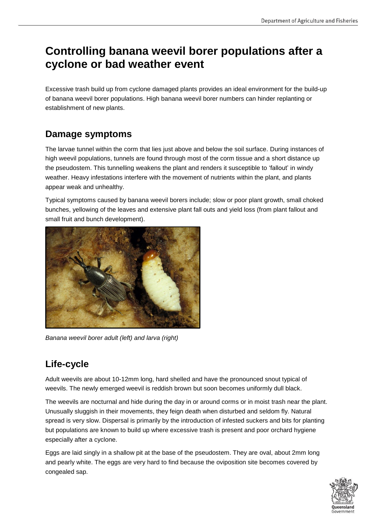# **Controlling banana weevil borer populations after a cyclone or bad weather event**

Excessive trash build up from cyclone damaged plants provides an ideal environment for the build-up of banana weevil borer populations. High banana weevil borer numbers can hinder replanting or establishment of new plants.

### **Damage symptoms**

The larvae tunnel within the corm that lies just above and below the soil surface. During instances of high weevil populations, tunnels are found through most of the corm tissue and a short distance up the pseudostem. This tunnelling weakens the plant and renders it susceptible to 'fallout' in windy weather. Heavy infestations interfere with the movement of nutrients within the plant, and plants appear weak and unhealthy.

Typical symptoms caused by banana weevil borers include; slow or poor plant growth, small choked bunches, yellowing of the leaves and extensive plant fall outs and yield loss (from plant fallout and small fruit and bunch development).



*Banana weevil borer adult (left) and larva (right)*

## **Life-cycle**

Adult weevils are about 10-12mm long, hard shelled and have the pronounced snout typical of weevils. The newly emerged weevil is reddish brown but soon becomes uniformly dull black.

The weevils are nocturnal and hide during the day in or around corms or in moist trash near the plant. Unusually sluggish in their movements, they feign death when disturbed and seldom fly. Natural spread is very slow. Dispersal is primarily by the introduction of infested suckers and bits for planting but populations are known to build up where excessive trash is present and poor orchard hygiene especially after a cyclone.

Eggs are laid singly in a shallow pit at the base of the pseudostem. They are oval, about 2mm long and pearly white. The eggs are very hard to find because the oviposition site becomes covered by congealed sap.

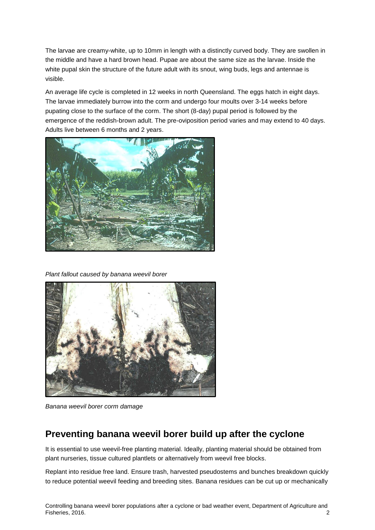The larvae are creamy-white, up to 10mm in length with a distinctly curved body. They are swollen in the middle and have a hard brown head. Pupae are about the same size as the larvae. Inside the white pupal skin the structure of the future adult with its snout, wing buds, legs and antennae is visible.

An average life cycle is completed in 12 weeks in north Queensland. The eggs hatch in eight days. The larvae immediately burrow into the corm and undergo four moults over 3-14 weeks before pupating close to the surface of the corm. The short (8-day) pupal period is followed by the emergence of the reddish-brown adult. The pre-oviposition period varies and may extend to 40 days. Adults live between 6 months and 2 years.



*Plant fallout caused by banana weevil borer*



*Banana weevil borer corm damage*

#### **Preventing banana weevil borer build up after the cyclone**

It is essential to use weevil-free planting material. Ideally, planting material should be obtained from plant nurseries, tissue cultured plantlets or alternatively from weevil free blocks.

Replant into residue free land. Ensure trash, harvested pseudostems and bunches breakdown quickly to reduce potential weevil feeding and breeding sites. Banana residues can be cut up or mechanically